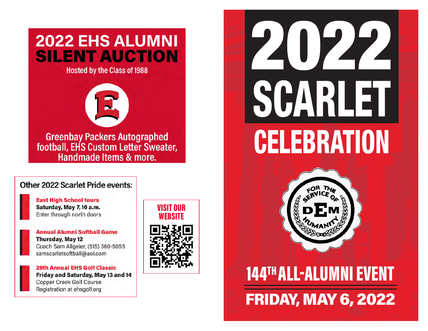# **2022 EHS ALUMNI SILENT AUCTION**

**Hosted by the Class of 1988** 



Greenbay Packers Autographed<br>football, EHS Custom Letter Sweater, Handmade Items & more.

## Other 2022 Scarlet Pride events:

**East High School tours** Saturday, May 7, 10 a.m. Enter through north doors

**Annual Alumni Softball Game Thursday, May 12** Coach Sam Allgeier, (515) 360-5055 samscarletsoftball@aol.com

**28th Annual EHS Golf Classic** Friday and Saturday, May 13 and 14 **Copper Creek Golf Course** Registration at ehsgolf.org

VISIT OUR WEBSITE







# 144TH ALL-ALUMNI EVENT FRIDAY, MAY 6, 2022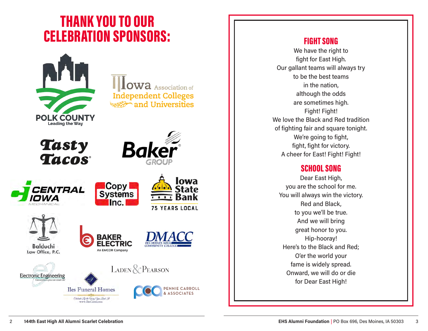# THANK YOU TO OUR CELEBRATION SPONSORS: FIGHT SONG



**OWA** Association of **Independent Colleges** and Universities









Balduchi

Law Office, P.C.



Oddredo Life the Using Your Lived A



lowa

State

**75 YEARS LOCAL** 





**Copy** 

**Systems**  $Inc$ 







We have the right to fight for East High. Our gallant teams will always try to be the best teams in the nation, although the odds are sometimes high. Fight! Fight! We love the Black and Red tradition of fighting fair and square tonight. We're going to fight, fight, fight for victory. A cheer for East! Fight! Fight!

## SCHOOL SONG

Dear East High, you are the school for me. You will always win the victory. Red and Black, to you we'll be true. And we will bring great honor to you. Hip-hooray! Here's to the Black and Red; O'er the world your fame is widely spread. Onward, we will do or die for Dear East High!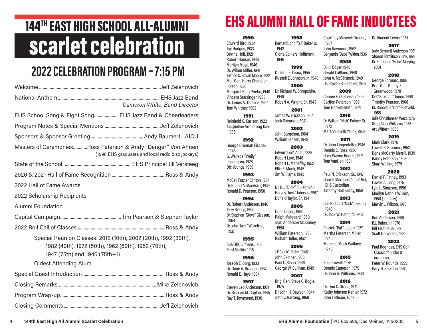# scarlet celebration

# 2022 CELEBRATION PROGRAM – 7:15 PM

| Cameron White, Band Director                                                                                                                                                            |
|-----------------------------------------------------------------------------------------------------------------------------------------------------------------------------------------|
| EHS School Song & Fight Song EHS Jazz Band & Cheerleaders                                                                                                                               |
|                                                                                                                                                                                         |
|                                                                                                                                                                                         |
| Masters of CeremoniesRoss Peterson & Andy "Danger" Von Ahnen<br>(1996 EHS graduates and local radio disc jockeys)                                                                       |
|                                                                                                                                                                                         |
|                                                                                                                                                                                         |
| 2022 Hall of Fame Awards                                                                                                                                                                |
| 2022 Scholarship Recipients                                                                                                                                                             |
| Alumni Foundation                                                                                                                                                                       |
|                                                                                                                                                                                         |
|                                                                                                                                                                                         |
| Special Reunion Classes: 2012 (10th), 2002 (20th), 1992 (30th),<br>1982 (40th), 1972 (50th), 1962 (60th), 1952 (70th),<br>1947 (75th) and 1946 (75th+1)<br><b>Oldest Attending Alum</b> |
|                                                                                                                                                                                         |
|                                                                                                                                                                                         |
|                                                                                                                                                                                         |
|                                                                                                                                                                                         |
|                                                                                                                                                                                         |

# 144<sup>TH</sup> EAST HIGH SCHOOL ALL-ALUMNI **EHS ALUMNI HALL OF FAME INDUCTEES**

1987

1972

1949

1946

1943

John Raymond, 1962 Benjamin "Babe" Witten, 1936 2008 Bill J. Boyer, 1948

2009 Connie Fulk Boesen, 1969 Carlton Peterson, 1959 Tom Hockensmith, 1974 2010 Dr. William "Nick" Palmer, Sr.,

Marsha Smith Yelick, 1962 2011

2012 Paul N. Erickson, Sr., 1947 Garrett Martinus "John" Hol, EHS Custodian Timothy Hall Kelley, 1958 2013 Col. Richard "Dick" Desing,

Dr. Jack W. Hatchitt, 1943 2014 Patrick "Pat" Logan, 1979 Martha Peterson Miller,

Marcella Mack Wallace,

2015 Eric Crowell, 1976 Dennis Cameron, 1975

1990 Edward Bird, 1934 Joy Hodges, 1933 Bertha Holt, 1921 Robert Houser, 1936 Marilyn Maye, 1946 Dr. Wilbur Miller, 1941 Justice C. Edwin Moore, 1922 Maj. Gen. Harry Chandler Olson, 1936 Margaret King Priebe, 1940 Vincent Starzinger, 1905 Dr. James A. Thomas, 1957 Tom Whitney, 1962 1991 Reinhold O. Carlson, 1922 Jacqueline Armstrong Day, 1936

1992 George Drennan Fischer, 1943 G. Wallace "Wally" Lundgren, 1928 Dic Youngs, 1959 1993

```
McCeil Frazier Clinton, 1934
Dr. Robert A. MacAskill, 1939
Ronald D. Pearson, 1958
```
1994 Dr. Robert Anderson, 1946 Jerry Bishop, 1947 Dr. Stephen "Steve" Gleason, 1964 Dr. John "Jack" Wakefield, 1937

1995 Sue Olls Luthens, 1951 Fred Mathis, 1918

1996 Joseph E. Borg, 1933 Dr. Gene A. Braught, 1937 Ronald E. Hays, 1964

Steven Leo Anderson, 1971 Dr. Richard M. Caplan, 1945 Ray T. Townsend, 1930

1997

1998 Bernard John "B.J." Baker, Jr., 1942 Gloria Spillers Hoffmann, 1946

1999

Dr. John E. Cisna, 1955 Russell E. Johnson, Jr., 1948 Gerald LaBlanc, 1948 John A. McClintock, 1949 Dr. Steven R. Specker, 1963

2000 Dr. Richard W. Shropshire,

 1946 Robert A. Wright, Sr., 1943

2001 James W. Erickson, 1954 Jack Oxenrider, 1941

2002 John Burgeson, 1964

William Jensen, 1949 2003

Edwin "Lee" Allen, 1928 Robert Lord, 1946 Robert L. Mahaffey, 1952 Ellis E. Monk, 1945 Jim Williams, 1943

#### 2004

Dr. R.J. "Dick" Fuller, 1948 Harvey "Jock" Johnson, 1967 Donald Taylor, Sr., 1941

#### 2005

Udell Cason, 1960 Ralph Maigaard, 1950 Jean Anderson McKinney, 1954 William Paterson, 1963 Richard Tuller, 1952

#### 2006

J.F. "Jack" Rider, 1946 John Skinner, 1936 Paul L. Sloan, 1946 George W. Sullivan, 1949

2007 Brig. Gen. Steve C. Bogle,

 1975 Dr. John H. Dawson, 1944 John V. Hartung, 1958

Courtney Maxwell Greene, Dr. Vincent Lewis, 1967

#### 2017

Judy Bennett Anderson, 1961 Sharon Tomlinson Link, 1978 Dr. Katherine "Katie" Murphy, 2001

#### 2018

George Formaro, 1986 Brig. Gen. Randy E. Greenwood, 1978 Del "Saxman" Jones, 1968 Timothy Pearson, 1968 Dr. Ronald D. "Doc" Rietveld, 1955 Julie Christiansen West, 1976 Greg Alan Williams, 1973 Art Wittern, 1956

#### 2019 Mark Clark, 1976

Dr. John Lingenfelter, 1946 Dennis C. Ross, 1956 Gary Wayne Rourke, 1971 Tom VanHon, 1951 Lowell B. Kramme, 1952 Doris McCarty Merrill, 1939 Randy Peterson, 1969 Shari Walling, 1979

#### 2020

Daniel P. Finney, 1993 Lowell A. Long, 1975 Lyle L. Simpson, 1956 Marilyn Dennis Wilson, 1950 (January) Marvin J. Wilson, 1970

#### 2021

Ron Anderson, 1966 B.J. Baker, III, 1976 Bill Eisenlauer, 1971 Scott Helverson, 1981

#### 2022

Paul Rogness, EHS Golf Classic founder & organizer Peter W. Rounds, 1959 Gary H. Sheldon, 1962

#### Dr. John A. Williams, 1960 2016

Dr. Don C. Green, 1941 Kathy Johnson Kahler, 1972 John Lethcoe, Jr., 1960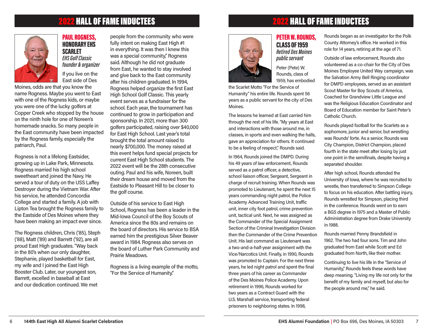# 2022 HALL OF FAME INDUCTEES 2022 HALL OF FAME INDUCTEES



PAUL ROGNESS, HONORARY EHS **SCARLET** EHS Golf Classic founder & organizer

If you live on the East side of Des

Moines, odds are that you know the name Rogness. Maybe you went to East with one of the Rogness kids, or maybe you were one of the lucky golfers at Copper Creek who stopped by the house on the ninth hole for one of Noreen's homemade snacks. So many people in the East community have been impacted by the Rogness family, especially the patriarch, Paul.

Rogness is not a lifelong Eastsider, growing up in Lake Park, Minnesota. Rogness married his high school sweetheart and joined the Navy. He served a tour of duty on the USS Laffey Destroyer during the Vietnam War. After his service, he attended Concordia College and started a family. A job with Lipton Tea brought the Rogness family to the Eastside of Des Moines where they have been making an impact ever since.

The Rogness children, Chris ('85), Steph ('88), Matt ('89) and Barrett ('92), are all proud East High graduates. "Way back in the 80's when our only daughter, Stephanie, played basketball for East, my wife and I joined the East High Booster Club. Later, our youngest son, Barrett, excelled in baseball at East and our dedication continued. We met

people from the community who were fully intent on making East High #1 in everything. It was then I knew this was a special community," Rogness said. Although he did not graduate from East, he wanted to stay involved and give back to the East community after his children graduated. In 1994, Rogness helped organize the first East High School Golf Classic. This yearly event serves as a fundraiser for the school. Each year, the tournament has continued to grow in participation and sponsorship. In 2021, more than 300 golfers participated, raising over \$40,000 for East High School. Last year's total brought the total amount raised to nearly \$700,000. The money raised at this event helps fund special projects for current East High School students. The 2022 event will be the 28th consecutive outing. Paul and his wife, Noreen, built their dream house and moved from the Eastside to Pleasant Hill to be closer to the golf course.

Outside of his service to East High School, Rogness has been a leader in the Mid-Iowa Council of the Boy Scouts of America since the 80s and remains on the board of directors. His service to BSA earned him the prestigious Silver Beaver award in 1984. Rogness also serves on the board of Luther Park Community and Prairie Meadows.

Rogness is a living example of the motto, "For the Service of Humanity."



#### 1959, has embodied the Scarlet Motto "For the Service of Humanity" his entire life. Rounds spent 56 years as a public servant for the city of Des Moines.

The lessons he learned at East carried him through the rest of his life. "My years at East and interactions with those around me, in classes, in sports and even walking the halls, gave an appreciation for others. It continued to be a feeling of respect," Rounds said.

In 1964, Rounds joined the DMPD. During his 49 years of law enforcement, Rounds served as a patrol officer, a detective, school liaison officer, Sergeant, Sergeant in charge of recruit training. When Rounds was promoted to Lieutenant, he spent the next 15 years commanding night patrol, the Police Academy Advanced Training Unit, traffic unit, inner city foot patrol, crime prevention unit, tactical unit. Next, he was assigned as the Commander of the Special Assignment Section of the Criminal Investigation Division then the Commander of the Crime Prevention Unit. His last command as Lieutenant was a two-and-a-half-year assignment with the Vice/Narcotics Unit. Finally, in 1990, Rounds was promoted to Captain. For the next three years, he led night patrol and spent the final three years of his career as Commander of the Des Moines Police Academy. Upon retirement in 1996, Rounds worked for two years as a Contract Guard with the U.S. Marshall service, transporting federal prisoners to neighboring states. In 1998,

Rounds began as an investigator for the Polk County Attorney's office. He worked in this role for 14 years, retiring at the age of 71.

Outside of law enforcement, Rounds also volunteered as a co-chair for the City of Des Moines Employee United Way campaign, was the Salvation Army Bell Ringing coordinator for DMPD employees, served as an assistant Scout Master for Boy Scouts of America, Coached for Grandview Little League and was the Religious Education Coordinator and Board of Education member for Saint Peter's Catholic Church.

Rounds played football for the Scarlets as a sophomore, junior and senior, but wrestling was Rounds' forte. As a senior, Rounds was City Champion, District Champion, placed fourth in the state meet after losing by just one point in the semifinals, despite having a separated shoulder.

After high school, Rounds attended the University of Iowa, where he was recruited to wrestle, then transferred to Simpson College to focus on his education. After battling injury, Rounds wrestled for Simpson, placing third in the conference. Rounds went on to earn a BGS degree in 1975 and a Master of Public Administration degree from Drake University in 1988.

Rounds married Penny Brandsfield in 1962. The two had four sons. Tim and John graduated from East while Scott and Ed graduated from North, like their mother.

Continuing to live his life in the "Service of Humanity," Rounds feels these words have deep meaning. "Living my life not only for the benefit of my family and myself, but also for the people around me," he said.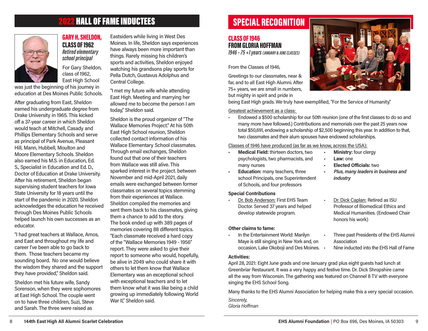# 2022 HALL OF FAME INDUCTEES



GARY H. SHELDON, CLASS OF 1962 Retired elementary school principal

For Gary Sheldon, class of 1962, East High School

was just the beginning of his journey in education at Des Moines Public Schools.

After graduating from East, Sheldon earned his undergraduate degree from Drake University in 1965. This kicked off a 37-year career in which Sheldon would teach at Mitchell, Casady and Phillips Elementary Schools and serve as principal of Park Avenue, Pleasant Hill, Mann, Hubbell, Moulton and Moore Elementary Schools. Sheldon also earned his M.S. in Education, Ed. S., Specialist in Education and Ed. D., Doctor of Education at Drake University. After his retirement, Sheldon began supervising student teachers for Iowa State University for 18 years until the start of the pandemic in 2020. Sheldon acknowledges the education he received through Des Moines Public Schools helped launch his own successes as an educator.

"I had great teachers at Wallace, Amos, and East and throughout my life and career I've been able to go back to them. Those teachers became my sounding board. No one would believe the wisdom they shared and the support they have provided," Sheldon said.

Sheldon met his future wife, Sandy Sorenson, when they were sophomores at East High School. The couple went on to have three children, Suzi, Steve and Sarah. The three were raised as

Eastsiders while living in West Des Moines. In life, Sheldon says experiences have always been more important than things. Rarely missing his children's sports and activities, Sheldon enjoyed watching his grandsons play sports for Pella Dutch, Gustavus Adolphus and Central College.

"I met my future wife while attending East High. Meeting and marrying her allowed me to become the person I am today," Sheldon said.

Sheldon is the proud organizer of "The Wallace Memories Project." At his 50th East High School reunion, Sheldon collected contact information of his Wallace Elementary School classmates. Through email exchanges, Sheldon found out that one of their teachers from Wallace was still alive. This sparked interest in the project. between November and mid-April 2021, daily emails were exchanged between former classmates on several topics stemming from their experiences at Wallace. Sheldon compiled the memories and sent them back to his classmates, giving them a chance to add to the story. The book ended up with 389 pages of memories covering 88 different topics. "Each classmate received a hard copy of the "Wallace Memories 1949 - 1956" report. They were asked to give their report to someone who would, hopefully, be alive in 2049 who could share it with others to let them know that Wallace Elementary was an exceptional school with exceptional teachers and to let them know what it was like being a child growing up immediately following World War II," Sheldon said.

# SPECIAL RECOGNITION

#### CLASS OF 1946 FROM GLORIA HOFFMAN 1946 – 75 +1 years (JANUARY & JUNE CLASSES)

From the Classes of 1946,

Greetings to our classmates, near & far, and to all East High Alumni. After 75+ years, we are small in numbers, but mighty in spirit and pride in



being East High grads. We truly have exemplified, "For the Service of Humanity."

Greatest achievement as a class:

• Endowed a \$500 scholarship for our 50th reunion (one of the first classes to do so and many more have followed.) Contributions and memorials over the past 25 years now total \$50,691, endowing a scholarship of \$2,500 beginning this year. In addition to that, two classmates and their alum spouses have endowed scholarships.

Classes of 1946 have produced (as far as we know, across the USA):

- • Medical Field: thirteen doctors, two psychologists, two pharmacists, and many nurses
- **Education:** many teachers, three school Principals, one Superintendent of Schools, and four professors

#### Special Contributions

Dr. Bob Anderson: First EHS Team Doctor. Served 37 years and helped develop statewide program.

#### Other claims to fame:

• In the Entertainment World: Marilyn Maye is still singing in New York and, on occasion, Lake Okoboji and Des Moines.

#### Activities:

April 28, 2021: Eight June grads and one January grad plus eight guests had lunch at Greenbriar Restaurant. It was a very happy and festive time. Dr. Dick Shropshire came all the way from Wisconsin. The gathering was featured on Channel 8 TV with everyone singing the EHS School Song.

Many thanks to the EHS Alumni Association for helping make this a very special occasion. Sincerely, Gloria Hoffman

- **Ministry: four clergy** Law: one **Elected Officials: two**
- Plus, many leaders in business and industry
- Dr. Dick Caplan: Retired as ISU Professor of Biomedical Ethics and Medical Humanities. (Endowed Chair honors his work)
- Three past Presidents of the EHS Alumni Association
	- Nine inducted into the EHS Hall of Fame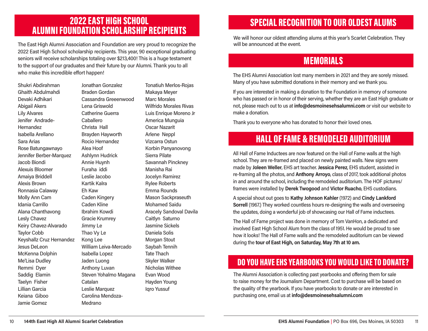## 2022 EAST HIGH SCHOOL ALUMNI FOUNDATION SCHOLARSHIP RECIPIENTS

The East High Alumni Association and Foundation are very proud to recognize the 2022 East High School scholarship recipients. This year, 90 exceptional graduating seniors will receive scholarships totaling over \$213,400! This is a huge testament to the support of our graduates and their future by our Alumni. Thank you to all who make this incredible effort happen!<br>
The EHS Alumni Association lost many members in 2021 and they are sorely missed.

Shukri Abdirahman Ghaith Abdulmahdi Devaki Adhikari Abigail Akers Lily Alvares Jenifer Andrade-Hernandez Isabella Arellano Sara Arias Rose Batungawnayo Jennifer Berber-Marquez Jacob Biondi Alexuis Bloomer Amaiya Briddell Alexis Brown Ronnasia Calaway Molly Ann Cam Idania Carrillo Alana Chanthavong Lesly Chavez Keiry Chavez-Alvarado Taylor Cobb Keyshallz Cruz Hernandez Jesus DeLeon McKenna Dolphin Me'Lisa Dudley Remmi Dyer Saddig Elamin Taelyn Fisher Lillian Garcia Keiana Giboo Jamie Gomez

Jonathan Gonzalez Braden Gordan Cassandra Greeenwood Lena Griswold Catherine Guerra Caballero Christa Hall Brayden Hayworth Rocio Hernandez Alea Hoof Ashlynn Hudrick Annie Huynh Furaha iddi Leslie Jacobo Kartik Kalra Eh Kaw Caden Kingery Caden Kline Ibrahim Kowdi Gracie Krumrey Jimmy Le Thao Vy Le Kong Lee William Leiva-Mercado Isabella Lopez Jaden Luong Anthony Luvan Steven Yohalmo Magana Catalan Leslie Marquez Carolina Mendoza-Medrano

Tonatiuh Merlos-Rojas Makaya Meyer Marc Morales Wilfrido Morales Rivas Luis Enrique Moreno Jr America Munguia Oscar Nazarit Arlene Neppl Vizcarra Ostun Korbin Panyanovong Sierra Pilate Savannah Pinckney Manisha Rai Jocelyn Ramirez Rylee Roberts Emma Rounds Mason Sackpraseuth Mohamed Saidu Aracely Sandoval Davila Caitlyn Saturno Jasmine Sickels Daniela Solis Morgan Stout Saybah Tennih Tate Thach Skyler Walker Nicholas Withee Evan Wood Hayden Young Iqro Yussuf

# SPECIAL RECOGNITION TO OUR OLDEST ALUMS

We will honor our oldest attending alums at this year's Scarlet Celebration. They will be announced at the event.

# MEMORIALS

Many of you have submitted donations in their memory and we thank you.

If you are interested in making a donation to the Foundation in memory of someone who has passed or in honor of their serving, whether they are an East High graduate or not, please reach out to us at info@desmoinesehsalumni.com or visit our website to make a donation.

Thank you to everyone who has donated to honor their loved ones.

# HALL OF FAME & REMODELED AUDITORIUM

All Hall of Fame Inductees are now featured on the Hall of Fame walls at the high school. They are re-framed and placed on newly painted walls. New signs were made by Joleen Weller, EHS art teacher. Jessica Perez, EHS student, assisted in re-framing all the photos, and Anthony Arroyo, class of 2017, took additional photos in and around the school, including the remodeled auditorium. The HOF pictures/ frames were installed by Derek Twogood and Victor Ruacho, EHS custodians.

A special shout out goes to Kathy Johnson Kahler (1972) and Cindy Lankford Sorrell (1967.) They worked countless hours re-designing the walls and overseeing the updates, doing a wonderful job of showcasing our Hall of Fame inductees.

The Hall of Fame project was done in memory of Tom VanHon, a dedicated and involved East High School Alum from the class of 1951. He would be proud to see how it looks! The Hall of Fame walls and the remodeled auditorium can be viewed during the tour of East High, on Saturday, May 7th at 10 am.

# DO YOU HAVE EHS YEARBOOKS YOU WOULD LIKE TO DONATE?

The Alumni Association is collecting past yearbooks and offering them for sale to raise money for the Journalism Department. Cost to purchase will be based on the quality of the yearbook. If you have yearbooks to donate or are interested in purchasing one, email us at info@desmoinesehsalumni.com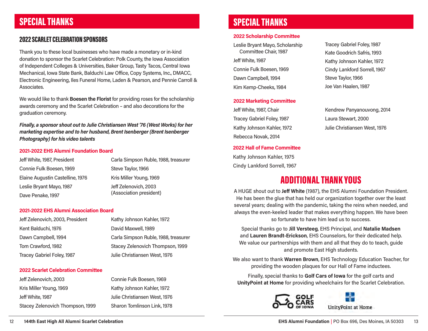# SPECIAL THANKS

#### 2022 SCARLET CELEBRATION SPONSORS

Thank you to these local businesses who have made a monetary or in-kind donation to sponsor the Scarlet Celebration: Polk County, the Iowa Association of Independent Colleges & Universities, Baker Group, Tasty Tacos, Central Iowa Mechanical, Iowa State Bank, Balduchi Law Office, Copy Systems, Inc., DMACC, Electronic Engineering, Iles Funeral Home, Laden & Pearson, and Pennie Carroll & Associates.

We would like to thank Boesen the Florist for providing roses for the scholarship awards ceremony and the Scarlet Celebration – and also decorations for the graduation ceremony.

Finally, a sponsor shout out to Julie Christiansen West '76 (West Works) for her marketing expertise and to her husband, Brent Isenberger (Brent Isenberger Photography) for his video talents

#### 2021-2022 EHS Alumni Foundation Board

| Jeff White, 1987, President      | Carla Simpson Ruble, 1988, treasurer |
|----------------------------------|--------------------------------------|
| Connie Fulk Boesen, 1969         | Steve Taylor, 1966                   |
| Elaine Augustin Castelline, 1976 | Kris Miller Young, 1969              |
| Leslie Bryant Mayo, 1987         | Jeff Zelenovich, 2003                |
| Dave Penake, 1997                | (Association president)              |

#### 2021-2022 EHS Alumni Association Board

| Jeff Zelenovich, 2003, President | Kathy Johnson Kahler, 1972           |
|----------------------------------|--------------------------------------|
| Kent Balduchi, 1976              | David Maxwell, 1989                  |
| Dawn Campbell, 1994              | Carla Simpson Ruble, 1988, treasurer |
| Tom Crawford, 1982               | Stacey Zelenovich Thompson, 1999     |
| Tracey Gabriel Foley, 1987       | Julie Christiansen West, 1976        |

#### 2022 Scarlet Celebration Committee

| Jeff Zelenovich, 2003            | Connie Fulk Boesen, 1969      |
|----------------------------------|-------------------------------|
| Kris Miller Young, 1969          | Kathy Johnson Kahler, 1972    |
| Jeff White, 1987                 | Julie Christiansen West, 1976 |
| Stacey Zelenovich Thompson, 1999 | Sharon Tomlinson Link, 1978   |

## SPECIAL THANKS

#### 2022 Scholarship Committee

Leslie Bryant Mayo, Scholarship Committee Chair, 1987 Jeff White, 1987 Connie Fulk Boesen, 1969 Dawn Campbell, 1994 Kim Kemp-Cheeks, 1984

#### 2022 Marketing Committee

Jeff White, 1987, Chair Tracey Gabriel Foley, 1987 Kathy Johnson Kahler, 1972 Rebecca Novak, 2014

#### 2022 Hall of Fame Committee

Kathy Johnson Kahler, 1975 Cindy Lankford Sorrell, 1967

Tracey Gabriel Foley, 1987 Kate Goodrich Safris, 1993 Kathy Johnson Kahler, 1972 Cindy Lankford Sorrell, 1967 Steve Taylor, 1966 Joe Van Haalen, 1987

Kendrew Panyanouvong, 2014 Laura Stewart, 2000 Julie Christiansen West, 1976

## ADDITIONAL THANK YOUS

A HUGE shout out to Jeff White (1987), the EHS Alumni Foundation President. He has been the glue that has held our organization together over the least several years; dealing with the pandemic, taking the reins when needed, and always the even-keeled leader that makes everything happen. We have been so fortunate to have him lead us to success.

Special thanks go to Jill Versteeg, EHS Principal, and Natalie Madsen and Lauren Brandt-Erickson, EHS Counselors, for their dedicated help. We value our partnerships with them and all that they do to teach, guide and promote East High students.

We also want to thank Warren Brown, EHS Technology Education Teacher, for providing the wooden plaques for our Hall of Fame inductees.

Finally, special thanks to Golf Cars of Iowa for the golf carts and UnityPoint at Home for providing wheelchairs for the Scarlet Celebration.